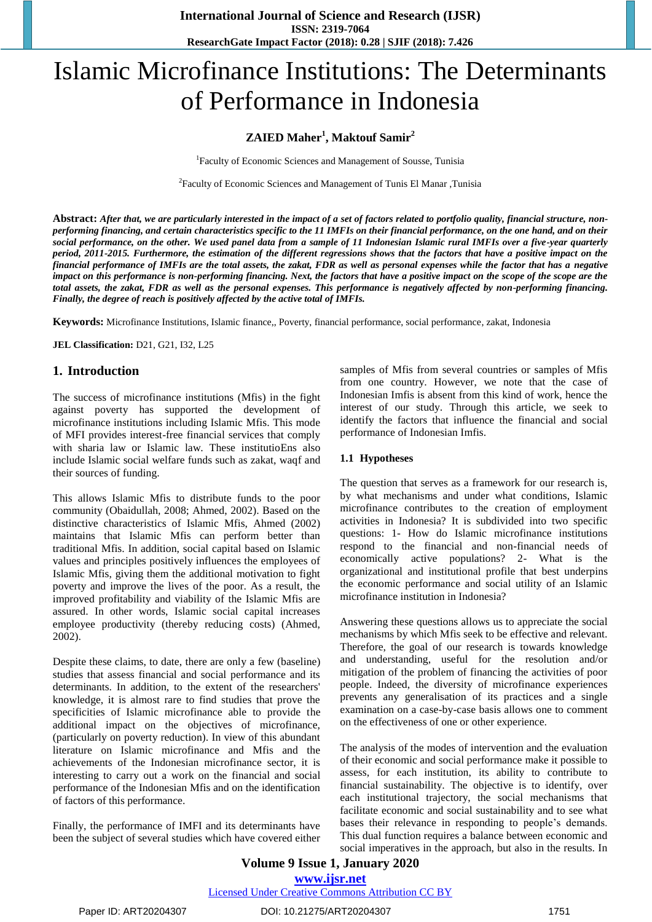# Islamic Microfinance Institutions: The Determinants of Performance in Indonesia

# **ZAIED Maher<sup>1</sup> , Maktouf Samir<sup>2</sup>**

<sup>1</sup>Faculty of Economic Sciences and Management of Sousse, Tunisia

2 Faculty of Economic Sciences and Management of Tunis El Manar ,Tunisia

**Abstract:** *After that, we are particularly interested in the impact of a set of factors related to portfolio quality, financial structure, nonperforming financing, and certain characteristics specific to the 11 IMFIs on their financial performance, on the one hand, and on their social performance, on the other. We used panel data from a sample of 11 Indonesian Islamic rural IMFIs over a five-year quarterly period, 2011-2015. Furthermore, the estimation of the different regressions shows that the factors that have a positive impact on the financial performance of IMFIs are the total assets, the zakat, FDR as well as personal expenses while the factor that has a negative impact on this performance is non-performing financing. Next, the factors that have a positive impact on the scope of the scope are the total assets, the zakat, FDR as well as the personal expenses. This performance is negatively affected by non-performing financing. Finally, the degree of reach is positively affected by the active total of IMFIs.*

**Keywords:** Microfinance Institutions, Islamic finance,, Poverty, financial performance, social performance, zakat, Indonesia

**JEL Classification:** D21, G21, I32, L25

## **1. Introduction**

The success of microfinance institutions (Mfis) in the fight against poverty has supported the development of microfinance institutions including Islamic Mfis. This mode of MFI provides interest-free financial services that comply with sharia law or Islamic law. These institutioEns also include Islamic social welfare funds such as zakat, waqf and their sources of funding.

This allows Islamic Mfis to distribute funds to the poor community (Obaidullah, 2008; Ahmed, 2002). Based on the distinctive characteristics of Islamic Mfis, Ahmed (2002) maintains that Islamic Mfis can perform better than traditional Mfis. In addition, social capital based on Islamic values and principles positively influences the employees of Islamic Mfis, giving them the additional motivation to fight poverty and improve the lives of the poor. As a result, the improved profitability and viability of the Islamic Mfis are assured. In other words, Islamic social capital increases employee productivity (thereby reducing costs) (Ahmed, 2002).

Despite these claims, to date, there are only a few (baseline) studies that assess financial and social performance and its determinants. In addition, to the extent of the researchers' knowledge, it is almost rare to find studies that prove the specificities of Islamic microfinance able to provide the additional impact on the objectives of microfinance, (particularly on poverty reduction). In view of this abundant literature on Islamic microfinance and Mfis and the achievements of the Indonesian microfinance sector, it is interesting to carry out a work on the financial and social performance of the Indonesian Mfis and on the identification of factors of this performance.

Finally, the performance of IMFI and its determinants have been the subject of several studies which have covered either samples of Mfis from several countries or samples of Mfis from one country. However, we note that the case of Indonesian Imfis is absent from this kind of work, hence the interest of our study. Through this article, we seek to identify the factors that influence the financial and social performance of Indonesian Imfis.

#### **1.1 Hypotheses**

The question that serves as a framework for our research is, by what mechanisms and under what conditions, Islamic microfinance contributes to the creation of employment activities in Indonesia? It is subdivided into two specific questions: 1- How do Islamic microfinance institutions respond to the financial and non-financial needs of economically active populations? 2- What is the organizational and institutional profile that best underpins the economic performance and social utility of an Islamic microfinance institution in Indonesia?

Answering these questions allows us to appreciate the social mechanisms by which Mfis seek to be effective and relevant. Therefore, the goal of our research is towards knowledge and understanding, useful for the resolution and/or mitigation of the problem of financing the activities of poor people. Indeed, the diversity of microfinance experiences prevents any generalisation of its practices and a single examination on a case-by-case basis allows one to comment on the effectiveness of one or other experience.

The analysis of the modes of intervention and the evaluation of their economic and social performance make it possible to assess, for each institution, its ability to contribute to financial sustainability. The objective is to identify, over each institutional trajectory, the social mechanisms that facilitate economic and social sustainability and to see what bases their relevance in responding to people's demands. This dual function requires a balance between economic and social imperatives in the approach, but also in the results. In

## **Volume 9 Issue 1, January 2020 www.ijsr.net** Licensed Under Creative Commons Attribution CC BY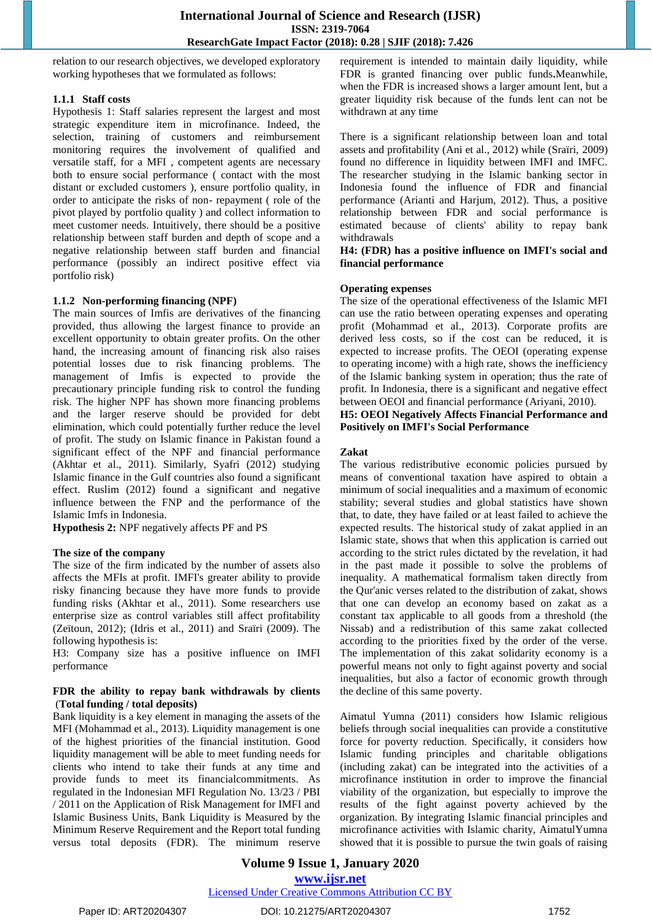relation to our research objectives, we developed exploratory working hypotheses that we formulated as follows:

#### **1.1.1 Staff costs**

Hypothesis 1: Staff salaries represent the largest and most strategic expenditure item in microfinance. Indeed, the selection, training of customers and reimbursement monitoring requires the involvement of qualified and versatile staff, for a MFI , competent agents are necessary both to ensure social performance ( contact with the most distant or excluded customers ), ensure portfolio quality, in order to anticipate the risks of non- repayment ( role of the pivot played by portfolio quality ) and collect information to meet customer needs. Intuitively, there should be a positive relationship between staff burden and depth of scope and a negative relationship between staff burden and financial performance (possibly an indirect positive effect via portfolio risk)

#### **1.1.2 Non-performing financing (NPF)**

The main sources of Imfis are derivatives of the financing provided, thus allowing the largest finance to provide an excellent opportunity to obtain greater profits. On the other hand, the increasing amount of financing risk also raises potential losses due to risk financing problems. The management of Imfis is expected to provide the precautionary principle funding risk to control the funding risk. The higher NPF has shown more financing problems and the larger reserve should be provided for debt elimination, which could potentially further reduce the level of profit. The study on Islamic finance in Pakistan found a significant effect of the NPF and financial performance (Akhtar et al., 2011). Similarly, Syafri (2012) studying Islamic finance in the Gulf countries also found a significant effect. Ruslim (2012) found a significant and negative influence between the FNP and the performance of the Islamic Imfs in Indonesia.

**Hypothesis 2:** NPF negatively affects PF and PS

#### **The size of the company**

The size of the firm indicated by the number of assets also affects the MFIs at profit. IMFI's greater ability to provide risky financing because they have more funds to provide funding risks (Akhtar et al., 2011). Some researchers use enterprise size as control variables still affect profitability (Zeïtoun, 2012); (Idris et al., 2011) and Sraïri (2009). The following hypothesis is:

H3: Company size has a positive influence on IMFI performance

#### **FDR the ability to repay bank withdrawals by clients**  (**Total funding / total deposits)**

Bank liquidity is a key element in managing the assets of the MFI (Mohammad et al., 2013). Liquidity management is one of the highest priorities of the financial institution. Good liquidity management will be able to meet funding needs for clients who intend to take their funds at any time and provide funds to meet its financialcommitments. As regulated in the Indonesian MFI Regulation No. 13/23 / PBI / 2011 on the Application of Risk Management for IMFI and Islamic Business Units, Bank Liquidity is Measured by the Minimum Reserve Requirement and the Report total funding versus total deposits (FDR). The minimum reserve requirement is intended to maintain daily liquidity, while FDR is granted financing over public funds**.**Meanwhile, when the FDR is increased shows a larger amount lent, but a greater liquidity risk because of the funds lent can not be withdrawn at any time

There is a significant relationship between loan and total assets and profitability (Ani et al., 2012) while (Sraïri, 2009) found no difference in liquidity between IMFI and IMFC. The researcher studying in the Islamic banking sector in Indonesia found the influence of FDR and financial performance (Arianti and Harjum, 2012). Thus, a positive relationship between FDR and social performance is estimated because of clients' ability to repay bank withdrawals

**H4: (FDR) has a positive influence on IMFI's social and financial performance**

#### **Operating expenses**

The size of the operational effectiveness of the Islamic MFI can use the ratio between operating expenses and operating profit (Mohammad et al., 2013). Corporate profits are derived less costs, so if the cost can be reduced, it is expected to increase profits. The OEOI (operating expense to operating income) with a high rate, shows the inefficiency of the Islamic banking system in operation; thus the rate of profit. In Indonesia, there is a significant and negative effect between OEOI and financial performance (Ariyani, 2010).

#### **H5: OEOI Negatively Affects Financial Performance and Positively on IMFI's Social Performance**

#### **Zakat**

The various redistributive economic policies pursued by means of conventional taxation have aspired to obtain a minimum of social inequalities and a maximum of economic stability; several studies and global statistics have shown that, to date, they have failed or at least failed to achieve the expected results. The historical study of zakat applied in an Islamic state, shows that when this application is carried out according to the strict rules dictated by the revelation, it had in the past made it possible to solve the problems of inequality. A mathematical formalism taken directly from the Qur'anic verses related to the distribution of zakat, shows that one can develop an economy based on zakat as a constant tax applicable to all goods from a threshold (the Nissab) and a redistribution of this same zakat collected according to the priorities fixed by the order of the verse. The implementation of this zakat solidarity economy is a powerful means not only to fight against poverty and social inequalities, but also a factor of economic growth through the decline of this same poverty.

Aimatul Yumna (2011) considers how Islamic religious beliefs through social inequalities can provide a constitutive force for poverty reduction. Specifically, it considers how Islamic funding principles and charitable obligations (including zakat) can be integrated into the activities of a microfinance institution in order to improve the financial viability of the organization, but especially to improve the results of the fight against poverty achieved by the organization. By integrating Islamic financial principles and microfinance activities with Islamic charity, AimatulYumna showed that it is possible to pursue the twin goals of raising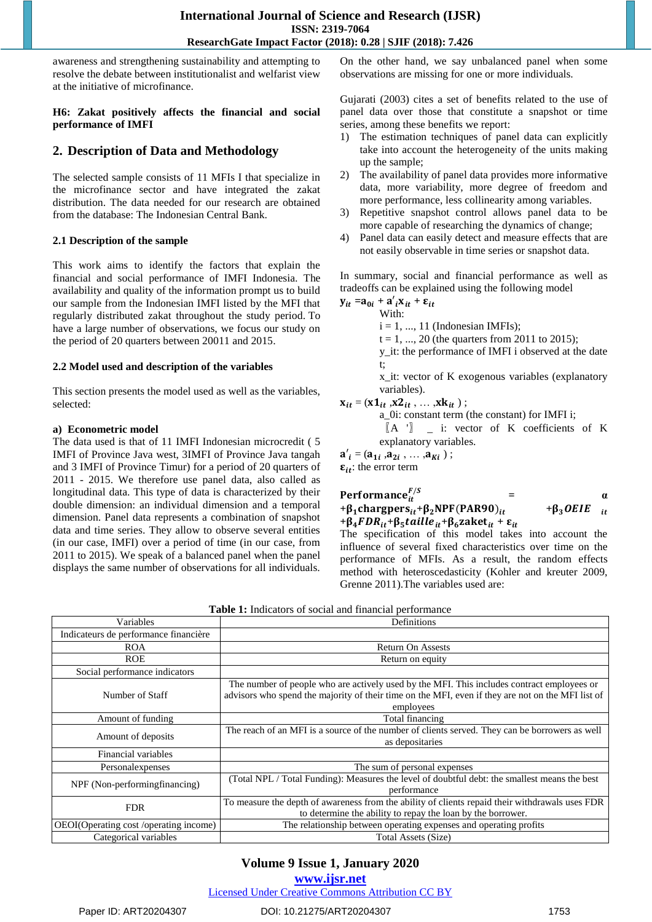awareness and strengthening sustainability and attempting to resolve the debate between institutionalist and welfarist view at the initiative of microfinance.

#### **H6: Zakat positively affects the financial and social performance of IMFI**

# **2. Description of Data and Methodology**

The selected sample consists of 11 MFIs I that specialize in the microfinance sector and have integrated the zakat distribution. The data needed for our research are obtained from the database: The Indonesian Central Bank.

#### **2.1 Description of the sample**

This work aims to identify the factors that explain the financial and social performance of IMFI Indonesia. The availability and quality of the information prompt us to build our sample from the Indonesian IMFI listed by the MFI that regularly distributed zakat throughout the study period. To have a large number of observations, we focus our study on the period of 20 quarters between 20011 and 2015.

#### **2.2 Model used and description of the variables**

This section presents the model used as well as the variables, selected:

#### **a) Econometric model**

The data used is that of 11 IMFI Indonesian microcredit ( 5 IMFI of Province Java west, 3IMFI of Province Java tangah and 3 IMFI of Province Timur) for a period of 20 quarters of 2011 - 2015. We therefore use panel data, also called as longitudinal data. This type of data is characterized by their double dimension: an individual dimension and a temporal dimension. Panel data represents a combination of snapshot data and time series. They allow to observe several entities (in our case, IMFI) over a period of time (in our case, from 2011 to 2015). We speak of a balanced panel when the panel displays the same number of observations for all individuals.

On the other hand, we say unbalanced panel when some observations are missing for one or more individuals.

Gujarati (2003) cites a set of benefits related to the use of panel data over those that constitute a snapshot or time series, among these benefits we report:

- 1) The estimation techniques of panel data can explicitly take into account the heterogeneity of the units making up the sample;
- 2) The availability of panel data provides more informative data, more variability, more degree of freedom and more performance, less collinearity among variables.
- 3) Repetitive snapshot control allows panel data to be more capable of researching the dynamics of change;
- 4) Panel data can easily detect and measure effects that are not easily observable in time series or snapshot data.

In summary, social and financial performance as well as tradeoffs can be explained using the following model

$$
\mathbf{y}_{it} = \mathbf{a}_{0i} + \mathbf{a}'_i \mathbf{x}_{it} + \mathbf{\varepsilon}_{it}
$$

With:

 $i = 1, ..., 11$  (Indonesian IMFIs);

 $t = 1, ..., 20$  (the quarters from 2011 to 2015);

y\_it: the performance of IMFI i observed at the date t;

x\_it: vector of K exogenous variables (explanatory variables).

# $x_{it} = (x1_{it}, x2_{it}, \dots, xk_{it})$ ;

a\_0i: constant term (the constant) for IMFI i;

〖A '〗 \_ i: vector of K coefficients of K explanatory variables.

 $a'_{i} = (a_{1i}, a_{2i}, \ldots, a_{Ki})$ ;

 $\epsilon_{it}$ : the error term

| Performance $_{i}^{F/S}$                                                                 |                 |    |
|------------------------------------------------------------------------------------------|-----------------|----|
| $+\beta_1$ chargpers <sub>it</sub> + $\beta_2$ NPF(PAR90) <sub>it</sub>                  | $+\beta_3$ OEIE | it |
| $+\beta_4 FDR_{it}+\beta_5 taille_{it}+\beta_6$ zaket <sub>it</sub> + $\varepsilon_{it}$ |                 |    |

The specification of this model takes into account the influence of several fixed characteristics over time on the performance of MFIs. As a result, the random effects method with heteroscedasticity (Kohler and kreuter 2009, Grenne 2011).The variables used are:

| Variables                              | Definitions                                                                                                                                                                                                  |  |  |  |  |
|----------------------------------------|--------------------------------------------------------------------------------------------------------------------------------------------------------------------------------------------------------------|--|--|--|--|
| Indicateurs de performance financière  |                                                                                                                                                                                                              |  |  |  |  |
| <b>ROA</b>                             | <b>Return On Assests</b>                                                                                                                                                                                     |  |  |  |  |
| <b>ROE</b>                             | Return on equity                                                                                                                                                                                             |  |  |  |  |
| Social performance indicators          |                                                                                                                                                                                                              |  |  |  |  |
| Number of Staff                        | The number of people who are actively used by the MFI. This includes contract employees or<br>advisors who spend the majority of their time on the MFI, even if they are not on the MFI list of<br>employees |  |  |  |  |
| Amount of funding                      | Total financing                                                                                                                                                                                              |  |  |  |  |
| Amount of deposits                     | The reach of an MFI is a source of the number of clients served. They can be borrowers as well<br>as depositaries                                                                                            |  |  |  |  |
| Financial variables                    |                                                                                                                                                                                                              |  |  |  |  |
| Personalexpenses                       | The sum of personal expenses                                                                                                                                                                                 |  |  |  |  |
| NPF (Non-performingfinancing)          | (Total NPL / Total Funding): Measures the level of doubtful debt: the smallest means the best<br>performance                                                                                                 |  |  |  |  |
| <b>FDR</b>                             | To measure the depth of awareness from the ability of clients repaid their withdrawals uses FDR<br>to determine the ability to repay the loan by the borrower.                                               |  |  |  |  |
| OEOI(Operating cost /operating income) | The relationship between operating expenses and operating profits                                                                                                                                            |  |  |  |  |
| Categorical variables                  | Total Assets (Size)                                                                                                                                                                                          |  |  |  |  |

**Table 1:** Indicators of social and financial performance

# **Volume 9 Issue 1, January 2020**

**www.ijsr.net**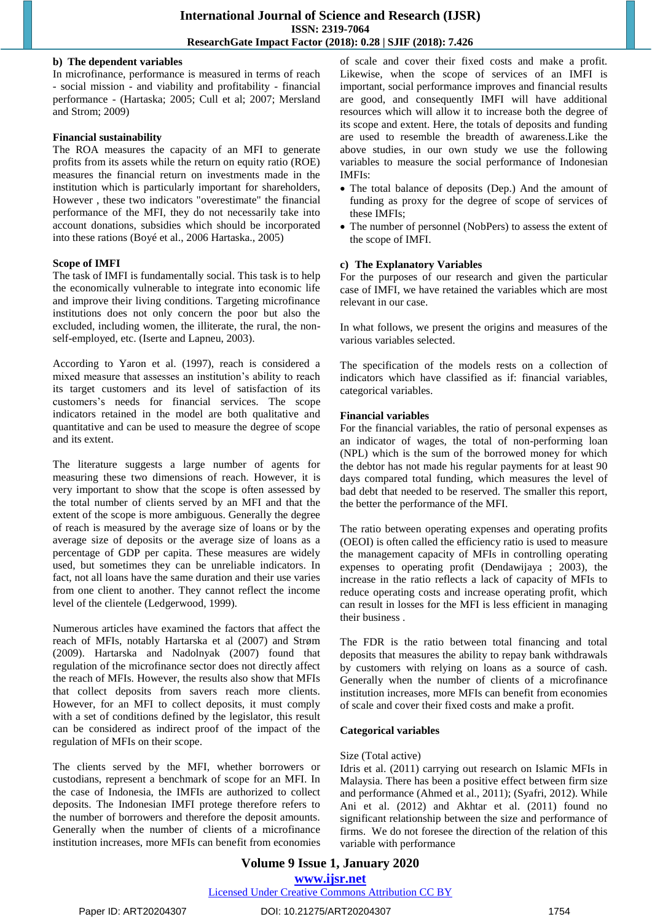#### **b) The dependent variables**

In microfinance, performance is measured in terms of reach - social mission - and viability and profitability - financial performance - (Hartaska; 2005; Cull et al; 2007; Mersland and Strom; 2009)

#### **Financial sustainability**

The ROA measures the capacity of an MFI to generate profits from its assets while the return on equity ratio (ROE) measures the financial return on investments made in the institution which is particularly important for shareholders, However , these two indicators "overestimate" the financial performance of the MFI, they do not necessarily take into account donations, subsidies which should be incorporated into these rations (Boyé et al., 2006 Hartaska., 2005)

#### **Scope of IMFI**

The task of IMFI is fundamentally social. This task is to help the economically vulnerable to integrate into economic life and improve their living conditions. Targeting microfinance institutions does not only concern the poor but also the excluded, including women, the illiterate, the rural, the nonself-employed, etc. (Iserte and Lapneu, 2003).

According to Yaron et al. (1997), reach is considered a mixed measure that assesses an institution's ability to reach its target customers and its level of satisfaction of its customers's needs for financial services. The scope indicators retained in the model are both qualitative and quantitative and can be used to measure the degree of scope and its extent.

The literature suggests a large number of agents for measuring these two dimensions of reach. However, it is very important to show that the scope is often assessed by the total number of clients served by an MFI and that the extent of the scope is more ambiguous. Generally the degree of reach is measured by the average size of loans or by the average size of deposits or the average size of loans as a percentage of GDP per capita. These measures are widely used, but sometimes they can be unreliable indicators. In fact, not all loans have the same duration and their use varies from one client to another. They cannot reflect the income level of the clientele (Ledgerwood, 1999).

Numerous articles have examined the factors that affect the reach of MFIs, notably Hartarska et al (2007) and Strøm (2009). Hartarska and Nadolnyak (2007) found that regulation of the microfinance sector does not directly affect the reach of MFIs. However, the results also show that MFIs that collect deposits from savers reach more clients. However, for an MFI to collect deposits, it must comply with a set of conditions defined by the legislator, this result can be considered as indirect proof of the impact of the regulation of MFIs on their scope.

The clients served by the MFI, whether borrowers or custodians, represent a benchmark of scope for an MFI. In the case of Indonesia, the IMFIs are authorized to collect deposits. The Indonesian IMFI protege therefore refers to the number of borrowers and therefore the deposit amounts. Generally when the number of clients of a microfinance institution increases, more MFIs can benefit from economies of scale and cover their fixed costs and make a profit. Likewise, when the scope of services of an IMFI is important, social performance improves and financial results are good, and consequently IMFI will have additional resources which will allow it to increase both the degree of its scope and extent. Here, the totals of deposits and funding are used to resemble the breadth of awareness.Like the above studies, in our own study we use the following variables to measure the social performance of Indonesian IMFIs:

- The total balance of deposits (Dep.) And the amount of funding as proxy for the degree of scope of services of these IMFIs;
- The number of personnel (NobPers) to assess the extent of the scope of IMFI.

#### **c) The Explanatory Variables**

For the purposes of our research and given the particular case of IMFI, we have retained the variables which are most relevant in our case.

In what follows, we present the origins and measures of the various variables selected.

The specification of the models rests on a collection of indicators which have classified as if: financial variables, categorical variables.

#### **Financial variables**

For the financial variables, the ratio of personal expenses as an indicator of wages, the total of non-performing loan (NPL) which is the sum of the borrowed money for which the debtor has not made his regular payments for at least 90 days compared total funding, which measures the level of bad debt that needed to be reserved. The smaller this report, the better the performance of the MFI.

The ratio between operating expenses and operating profits (OEOI) is often called the efficiency ratio is used to measure the management capacity of MFIs in controlling operating expenses to operating profit (Dendawijaya ; 2003), the increase in the ratio reflects a lack of capacity of MFIs to reduce operating costs and increase operating profit, which can result in losses for the MFI is less efficient in managing their business .

The FDR is the ratio between total financing and total deposits that measures the ability to repay bank withdrawals by customers with relying on loans as a source of cash. Generally when the number of clients of a microfinance institution increases, more MFIs can benefit from economies of scale and cover their fixed costs and make a profit.

#### **Categorical variables**

#### Size (Total active)

Idris et al. (2011) carrying out research on Islamic MFIs in Malaysia. There has been a positive effect between firm size and performance (Ahmed et al., 2011); (Syafri, 2012). While Ani et al. (2012) and Akhtar et al. (2011) found no significant relationship between the size and performance of firms. We do not foresee the direction of the relation of this variable with performance

## **Volume 9 Issue 1, January 2020 www.ijsr.net** Licensed Under Creative Commons Attribution CC BY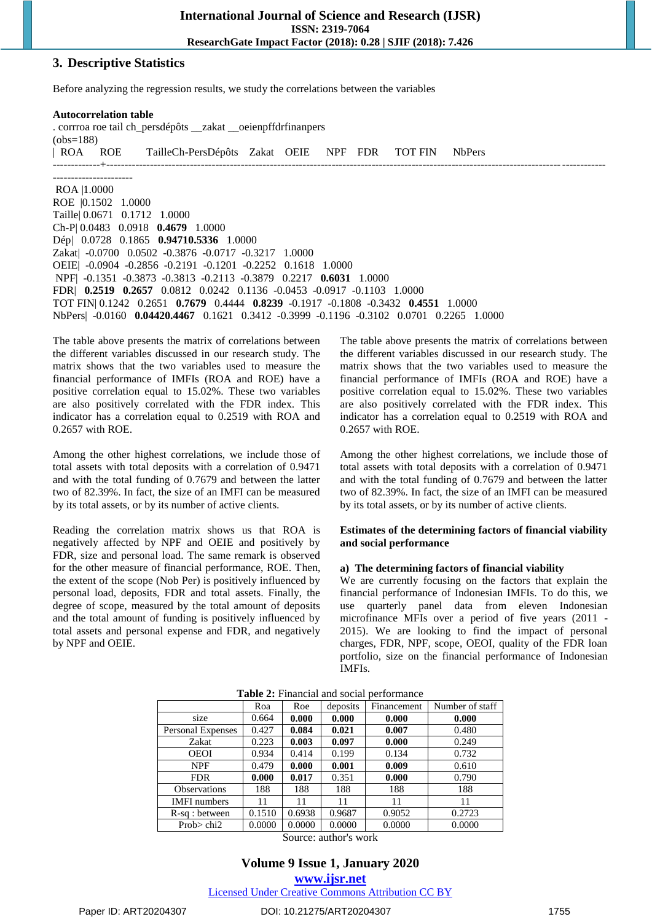#### **3. Descriptive Statistics**

Before analyzing the regression results, we study the correlations between the variables

**Autocorrelation table** . corrroa roe tail ch\_persdépôts \_\_zakat \_\_oeienpffdrfinanpers (obs=188) | ROA ROE TailleCh-PersDépôts Zakat OEIE NPF FDR TOT FIN NbPers -------------+----------------------------------------------------------------------------------------------------------------------------------------- ---------------------- ROA |1.0000 ROE |0.1502 1.0000 Taille| 0.0671 0.1712 1.0000 Ch-P| 0.0483 0.0918 **0.4679** 1.0000 Dép| 0.0728 0.1865 **0.94710.5336** 1.0000 Zakat| -0.0700 0.0502 -0.3876 -0.0717 -0.3217 1.0000 OEIE| -0.0904 -0.2856 -0.2191 -0.1201 -0.2252 0.1618 1.0000 NPF| -0.1351 -0.3873 -0.3813 -0.2113 -0.3879 0.2217 **0.6031** 1.0000 FDR| **0.2519 0.2657** 0.0812 0.0242 0.1136 -0.0453 -0.0917 -0.1103 1.0000 TOT FIN| 0.1242 0.2651 **0.7679** 0.4444 **0.8239** -0.1917 -0.1808 -0.3432 **0.4551** 1.0000 NbPers| -0.0160 **0.04420.4467** 0.1621 0.3412 -0.3999 -0.1196 -0.3102 0.0701 0.2265 1.0000

The table above presents the matrix of correlations between the different variables discussed in our research study. The matrix shows that the two variables used to measure the financial performance of IMFIs (ROA and ROE) have a positive correlation equal to 15.02%. These two variables are also positively correlated with the FDR index. This indicator has a correlation equal to 0.2519 with ROA and 0.2657 with ROE.

Among the other highest correlations, we include those of total assets with total deposits with a correlation of 0.9471 and with the total funding of 0.7679 and between the latter two of 82.39%. In fact, the size of an IMFI can be measured by its total assets, or by its number of active clients.

Reading the correlation matrix shows us that ROA is negatively affected by NPF and OEIE and positively by FDR, size and personal load. The same remark is observed for the other measure of financial performance, ROE. Then, the extent of the scope (Nob Per) is positively influenced by personal load, deposits, FDR and total assets. Finally, the degree of scope, measured by the total amount of deposits and the total amount of funding is positively influenced by total assets and personal expense and FDR, and negatively by NPF and OEIE.

The table above presents the matrix of correlations between the different variables discussed in our research study. The matrix shows that the two variables used to measure the financial performance of IMFIs (ROA and ROE) have a positive correlation equal to 15.02%. These two variables are also positively correlated with the FDR index. This indicator has a correlation equal to 0.2519 with ROA and 0.2657 with ROE.

Among the other highest correlations, we include those of total assets with total deposits with a correlation of 0.9471 and with the total funding of 0.7679 and between the latter two of 82.39%. In fact, the size of an IMFI can be measured by its total assets, or by its number of active clients.

#### **Estimates of the determining factors of financial viability and social performance**

#### **a) The determining factors of financial viability**

We are currently focusing on the factors that explain the financial performance of Indonesian IMFIs. To do this, we use quarterly panel data from eleven Indonesian microfinance MFIs over a period of five years (2011 - 2015). We are looking to find the impact of personal charges, FDR, NPF, scope, OEOI, quality of the FDR loan portfolio, size on the financial performance of Indonesian IMFIs.

|                          | Roa    | Roe    | deposits | Financement | Number of staff |
|--------------------------|--------|--------|----------|-------------|-----------------|
| size                     | 0.664  | 0.000  | 0.000    | 0.000       | 0.000           |
| <b>Personal Expenses</b> | 0.427  | 0.084  | 0.021    | 0.007       | 0.480           |
| Zakat                    | 0.223  | 0.003  | 0.097    | 0.000       | 0.249           |
| <b>OEOI</b>              | 0.934  | 0.414  | 0.199    | 0.134       | 0.732           |
| <b>NPF</b>               | 0.479  | 0.000  | 0.001    | 0.009       | 0.610           |
| <b>FDR</b>               | 0.000  | 0.017  | 0.351    | 0.000       | 0.790           |
| <b>Observations</b>      | 188    | 188    | 188      | 188         | 188             |
| <b>IMFI</b> numbers      | 11     | 11     | 11       | 11          | 11              |
| $R-sq:$ between          | 0.1510 | 0.6938 | 0.9687   | 0.9052      | 0.2723          |
| Prob $>$ chi2            | 0.0000 | 0.0000 | 0.0000   | 0.0000      | 0.0000          |

Source: author's work

# **Volume 9 Issue 1, January 2020**

**www.ijsr.net**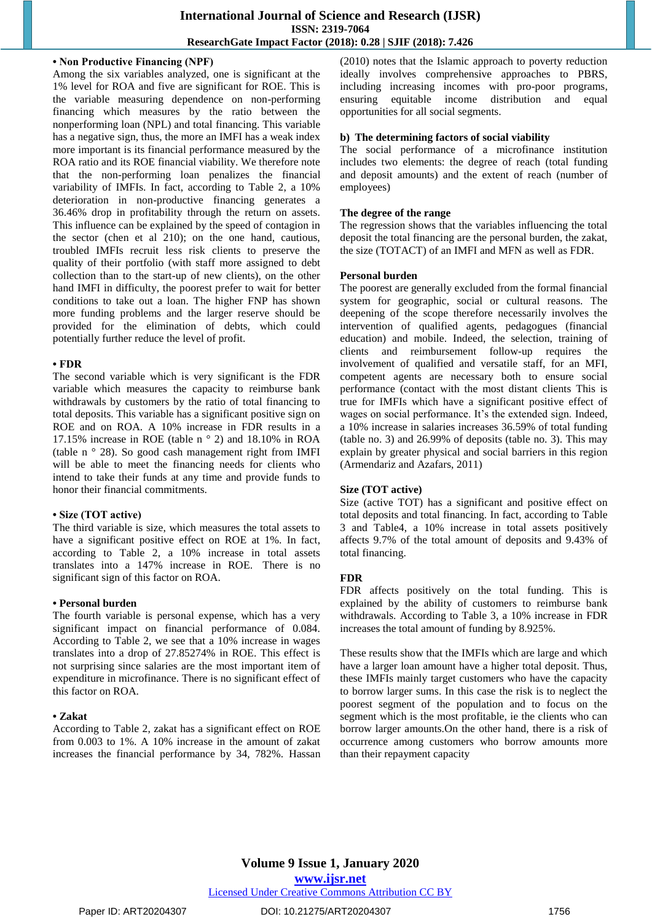#### **• Non Productive Financing (NPF)**

Among the six variables analyzed, one is significant at the 1% level for ROA and five are significant for ROE. This is the variable measuring dependence on non-performing financing which measures by the ratio between the nonperforming loan (NPL) and total financing. This variable has a negative sign, thus, the more an IMFI has a weak index more important is its financial performance measured by the ROA ratio and its ROE financial viability. We therefore note that the non-performing loan penalizes the financial variability of IMFIs. In fact, according to Table 2, a 10% deterioration in non-productive financing generates a 36.46% drop in profitability through the return on assets. This influence can be explained by the speed of contagion in the sector (chen et al 210); on the one hand, cautious, troubled IMFIs recruit less risk clients to preserve the quality of their portfolio (with staff more assigned to debt collection than to the start-up of new clients), on the other hand IMFI in difficulty, the poorest prefer to wait for better conditions to take out a loan. The higher FNP has shown more funding problems and the larger reserve should be provided for the elimination of debts, which could potentially further reduce the level of profit.

#### **• FDR**

The second variable which is very significant is the FDR variable which measures the capacity to reimburse bank withdrawals by customers by the ratio of total financing to total deposits. This variable has a significant positive sign on ROE and on ROA. A 10% increase in FDR results in a 17.15% increase in ROE (table n ° 2) and 18.10% in ROA (table n ° 28). So good cash management right from IMFI will be able to meet the financing needs for clients who intend to take their funds at any time and provide funds to honor their financial commitments.

#### **• Size (TOT active)**

The third variable is size, which measures the total assets to have a significant positive effect on ROE at 1%. In fact, according to Table 2, a 10% increase in total assets translates into a 147% increase in ROE. There is no significant sign of this factor on ROA.

#### **• Personal burden**

The fourth variable is personal expense, which has a very significant impact on financial performance of 0.084. According to Table 2, we see that a 10% increase in wages translates into a drop of 27.85274% in ROE. This effect is not surprising since salaries are the most important item of expenditure in microfinance. There is no significant effect of this factor on ROA.

#### **• Zakat**

According to Table 2, zakat has a significant effect on ROE from 0.003 to 1%. A 10% increase in the amount of zakat increases the financial performance by 34, 782%. Hassan (2010) notes that the Islamic approach to poverty reduction ideally involves comprehensive approaches to PBRS, including increasing incomes with pro-poor programs, ensuring equitable income distribution and equal opportunities for all social segments.

#### **b) The determining factors of social viability**

The social performance of a microfinance institution includes two elements: the degree of reach (total funding and deposit amounts) and the extent of reach (number of employees)

#### **The degree of the range**

The regression shows that the variables influencing the total deposit the total financing are the personal burden, the zakat, the size (TOTACT) of an IMFI and MFN as well as FDR.

#### **Personal burden**

The poorest are generally excluded from the formal financial system for geographic, social or cultural reasons. The deepening of the scope therefore necessarily involves the intervention of qualified agents, pedagogues (financial education) and mobile. Indeed, the selection, training of clients and reimbursement follow-up requires the involvement of qualified and versatile staff, for an MFI, competent agents are necessary both to ensure social performance (contact with the most distant clients This is true for IMFIs which have a significant positive effect of wages on social performance. It's the extended sign. Indeed, a 10% increase in salaries increases 36.59% of total funding (table no. 3) and 26.99% of deposits (table no. 3). This may explain by greater physical and social barriers in this region (Armendariz and Azafars, 2011)

#### **Size (TOT active)**

Size (active TOT) has a significant and positive effect on total deposits and total financing. In fact, according to Table 3 and Table4, a 10% increase in total assets positively affects 9.7% of the total amount of deposits and 9.43% of total financing.

#### **FDR**

FDR affects positively on the total funding. This is explained by the ability of customers to reimburse bank withdrawals. According to Table 3, a 10% increase in FDR increases the total amount of funding by 8.925%.

These results show that the IMFIs which are large and which have a larger loan amount have a higher total deposit. Thus, these IMFIs mainly target customers who have the capacity to borrow larger sums. In this case the risk is to neglect the poorest segment of the population and to focus on the segment which is the most profitable, ie the clients who can borrow larger amounts.On the other hand, there is a risk of occurrence among customers who borrow amounts more than their repayment capacity

# **Volume 9 Issue 1, January 2020**

**www.ijsr.net**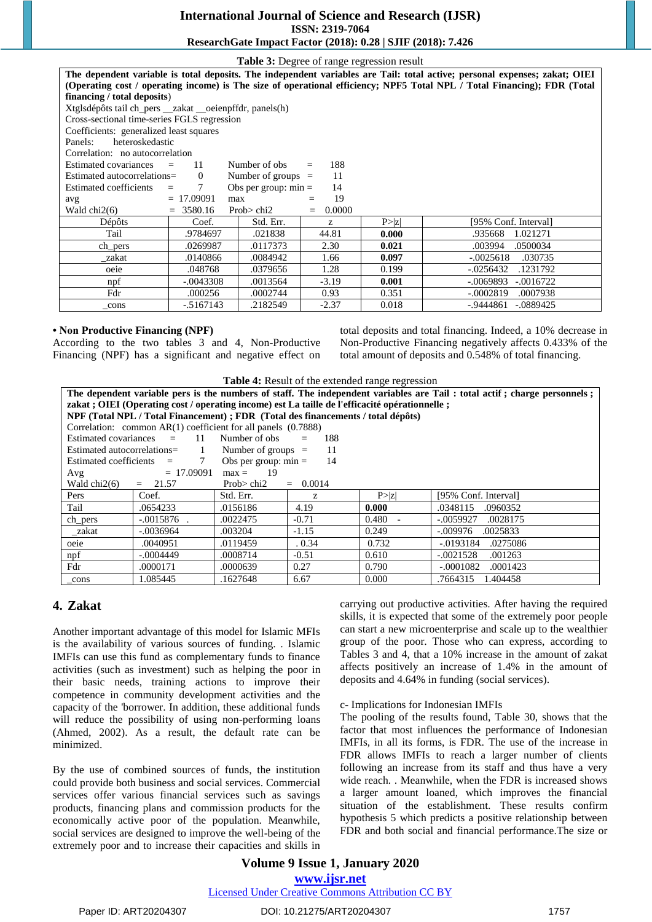# **International Journal of Science and Research (IJSR)**

**ISSN: 2319-7064**

## **ResearchGate Impact Factor (2018): 0.28 | SJIF (2018): 7.426**

| <b>Table 3:</b> Degree of range regression result                                                                          |              |               |               |        |                            |  |  |
|----------------------------------------------------------------------------------------------------------------------------|--------------|---------------|---------------|--------|----------------------------|--|--|
| The dependent variable is total deposits. The independent variables are Tail: total active; personal expenses; zakat; OIEI |              |               |               |        |                            |  |  |
| (Operating cost / operating income) is The size of operational efficiency; NPF5 Total NPL / Total Financing); FDR (Total   |              |               |               |        |                            |  |  |
| financing / total deposits)                                                                                                |              |               |               |        |                            |  |  |
| Xtglsdépôts tail ch_pers __ zakat __ oeienpffdr, panels(h)                                                                 |              |               |               |        |                            |  |  |
| Cross-sectional time-series FGLS regression                                                                                |              |               |               |        |                            |  |  |
| Coefficients: generalized least squares                                                                                    |              |               |               |        |                            |  |  |
| heteroskedastic<br>Panels:                                                                                                 |              |               |               |        |                            |  |  |
| Correlation: no autocorrelation                                                                                            |              |               |               |        |                            |  |  |
| Estimated covariances                                                                                                      | 11           | Number of obs | 188<br>$=$    |        |                            |  |  |
| Number of groups $=$<br>11<br>Estimated autocorrelations=<br>$\Omega$                                                      |              |               |               |        |                            |  |  |
| Obs per group: $min =$<br>7<br>14<br>Estimated coefficients<br>$=$                                                         |              |               |               |        |                            |  |  |
| $= 17.09091$<br>19<br>max<br>avg<br>$\equiv$                                                                               |              |               |               |        |                            |  |  |
| Wald chi2(6)                                                                                                               | $= 3580.16$  | Prob $>$ chi2 | 0.0000<br>$=$ |        |                            |  |  |
| Dépôts                                                                                                                     | Coef.        | Std. Err.     | Z.            | P >  z | [95% Conf. Interval]       |  |  |
| Tail                                                                                                                       | .9784697     | .021838       | 44.81         | 0.000  | .935668<br>1.021271        |  |  |
| ch_pers                                                                                                                    | .0269987     | .0117373      | 2.30          | 0.021  | .0500034<br>.003994        |  |  |
| zakat                                                                                                                      | .0140866     | .0084942      | 1.66          | 0.097  | $-.0025618$<br>.030735     |  |  |
| oeie                                                                                                                       | .048768      | .0379656      | 1.28          | 0.199  | $-0.0256432$<br>.1231792   |  |  |
| $n$ pf                                                                                                                     | $-.0043308$  | .0013564      | $-3.19$       | 0.001  | $-.0069893$<br>$-.0016722$ |  |  |
| Fdr                                                                                                                        | .000256      | .0002744      | 0.93          | 0.351  | $-.0002819$<br>.0007938    |  |  |
| cons                                                                                                                       | $-0.5167143$ | .2182549      | $-2.37$       | 0.018  | -.9444861<br>$-.0889425$   |  |  |

#### **• Non Productive Financing (NPF)**

According to the two tables 3 and 4, Non-Productive Financing (NPF) has a significant and negative effect on total deposits and total financing. Indeed, a 10% decrease in Non-Productive Financing negatively affects 0.433% of the total amount of deposits and 0.548% of total financing.

| <b>Table 4:</b> Result of the extended range regression                                                                  |               |                        |               |        |                         |  |  |
|--------------------------------------------------------------------------------------------------------------------------|---------------|------------------------|---------------|--------|-------------------------|--|--|
| The dependent variable pers is the numbers of staff. The independent variables are Tail: total actif; charge personnels; |               |                        |               |        |                         |  |  |
| zakat ; OIEI (Operating cost / operating income) est La taille de l'efficacité opérationnelle ;                          |               |                        |               |        |                         |  |  |
| NPF (Total NPL / Total Financement) ; FDR (Total des financements / total dépôts)                                        |               |                        |               |        |                         |  |  |
| Correlation: common $AR(1)$ coefficient for all panels $(0.7888)$                                                        |               |                        |               |        |                         |  |  |
| Estimated covariances $=$<br>Number of obs<br>11<br>188                                                                  |               |                        |               |        |                         |  |  |
| Estimated autocorrelations=                                                                                              | $\sim$ 1      | Number of groups $=$   | 11            |        |                         |  |  |
| Estimated coefficients $=$                                                                                               | $7\degree$    | Obs per group: $min =$ | 14            |        |                         |  |  |
| Avg                                                                                                                      | $= 17.09091$  | $max =$<br>- 19        |               |        |                         |  |  |
| Wald $chi2(6)$                                                                                                           | $= 21.57$     | Prob $>$ chi2          | 0.0014<br>$=$ |        |                         |  |  |
| Pers                                                                                                                     | Coef.         | Std. Err.              | Z             | P >  z | [95% Conf. Interval]    |  |  |
| Tail                                                                                                                     | .0654233      | .0156186               | 4.19          | 0.000  | .0960352<br>.0348115    |  |  |
| ch_pers                                                                                                                  | $-.0015876$ . | .0022475               | $-0.71$       | 0.480  | $-.0059927$<br>.0028175 |  |  |
| _zakat                                                                                                                   | $-.0036964$   | .003204                | $-1.15$       | 0.249  | .0025833<br>$-.009976$  |  |  |
| oeie                                                                                                                     | .0040951      | .0119459               | 0.34          | 0.732  | -.0193184<br>.0275086   |  |  |
| npf                                                                                                                      | $-.0004449$   | .0008714               | $-0.51$       | 0.610  | $-.0021528$<br>.001263  |  |  |
| Fdr                                                                                                                      | .0000171      | .0000639               | 0.27          | 0.790  | $-.0001082$<br>.0001423 |  |  |
| _cons                                                                                                                    | 1.085445      | .1627648               | 6.67          | 0.000  | .7664315<br>1.404458    |  |  |

## **4. Zakat**

Another important advantage of this model for Islamic MFIs is the availability of various sources of funding. . Islamic IMFIs can use this fund as complementary funds to finance activities (such as investment) such as helping the poor in their basic needs, training actions to improve their competence in community development activities and the capacity of the 'borrower. In addition, these additional funds will reduce the possibility of using non-performing loans (Ahmed, 2002). As a result, the default rate can be minimized.

By the use of combined sources of funds, the institution could provide both business and social services. Commercial services offer various financial services such as savings products, financing plans and commission products for the economically active poor of the population. Meanwhile, social services are designed to improve the well-being of the extremely poor and to increase their capacities and skills in carrying out productive activities. After having the required skills, it is expected that some of the extremely poor people can start a new microenterprise and scale up to the wealthier group of the poor. Those who can express, according to Tables 3 and 4, that a 10% increase in the amount of zakat affects positively an increase of 1.4% in the amount of deposits and 4.64% in funding (social services).

#### c- Implications for Indonesian IMFIs

The pooling of the results found, Table 30, shows that the factor that most influences the performance of Indonesian IMFIs, in all its forms, is FDR. The use of the increase in FDR allows IMFIs to reach a larger number of clients following an increase from its staff and thus have a very wide reach. . Meanwhile, when the FDR is increased shows a larger amount loaned, which improves the financial situation of the establishment. These results confirm hypothesis 5 which predicts a positive relationship between FDR and both social and financial performance.The size or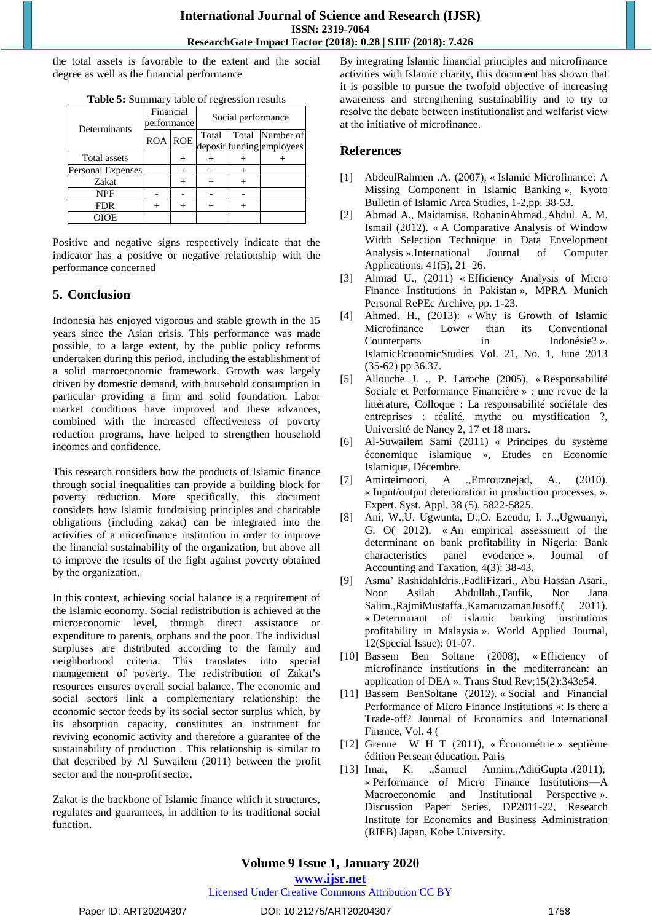the total assets is favorable to the extent and the social degree as well as the financial performance

| Determinants      | Financial<br>performance |                | Social performance |  |                           |
|-------------------|--------------------------|----------------|--------------------|--|---------------------------|
|                   |                          | <b>ROA ROE</b> | Total              |  | Total Number of           |
|                   |                          |                |                    |  | deposit funding employees |
| Total assets      |                          |                |                    |  |                           |
| Personal Expenses |                          |                |                    |  |                           |
| Zakat             |                          |                |                    |  |                           |
| <b>NPF</b>        |                          |                |                    |  |                           |
| <b>FDR</b>        |                          |                |                    |  |                           |
| OIOE              |                          |                |                    |  |                           |

**Table 5:** Summary table of regression results

Positive and negative signs respectively indicate that the indicator has a positive or negative relationship with the performance concerned

# **5. Conclusion**

Indonesia has enjoyed vigorous and stable growth in the 15 years since the Asian crisis. This performance was made possible, to a large extent, by the public policy reforms undertaken during this period, including the establishment of a solid macroeconomic framework. Growth was largely driven by domestic demand, with household consumption in particular providing a firm and solid foundation. Labor market conditions have improved and these advances, combined with the increased effectiveness of poverty reduction programs, have helped to strengthen household incomes and confidence.

This research considers how the products of Islamic finance through social inequalities can provide a building block for poverty reduction. More specifically, this document considers how Islamic fundraising principles and charitable obligations (including zakat) can be integrated into the activities of a microfinance institution in order to improve the financial sustainability of the organization, but above all to improve the results of the fight against poverty obtained by the organization.

In this context, achieving social balance is a requirement of the Islamic economy. Social redistribution is achieved at the microeconomic level, through direct assistance or expenditure to parents, orphans and the poor. The individual surpluses are distributed according to the family and neighborhood criteria. This translates into special management of poverty. The redistribution of Zakat's resources ensures overall social balance. The economic and social sectors link a complementary relationship: the economic sector feeds by its social sector surplus which, by its absorption capacity, constitutes an instrument for reviving economic activity and therefore a guarantee of the sustainability of production . This relationship is similar to that described by Al Suwailem (2011) between the profit sector and the non-profit sector.

Zakat is the backbone of Islamic finance which it structures, regulates and guarantees, in addition to its traditional social function.

By integrating Islamic financial principles and microfinance activities with Islamic charity, this document has shown that it is possible to pursue the twofold objective of increasing awareness and strengthening sustainability and to try to resolve the debate between institutionalist and welfarist view at the initiative of microfinance.

# **References**

- [1] AbdeulRahmen .A. (2007), « Islamic Microfinance: A Missing Component in Islamic Banking », Kyoto Bulletin of Islamic Area Studies, 1-2,pp. 38-53.
- [2] Ahmad A., Maidamisa. RohaninAhmad.,Abdul. A. M. Ismail (2012). « A Comparative Analysis of Window Width Selection Technique in Data Envelopment Analysis ».International Journal of Computer Applications, 41(5), 21–26.
- [3] Ahmad U., (2011) « Efficiency Analysis of Micro Finance Institutions in Pakistan », MPRA Munich Personal RePEc Archive, pp. 1-23.
- [4] Ahmed. H., (2013): « Why is Growth of Islamic Microfinance Lower than its Conventional Counterparts in Indonésie? ». IslamicEconomicStudies Vol. 21, No. 1, June 2013 (35-62) pp 36.37.
- [5] Allouche J. ., P. Laroche (2005), « Responsabilité Sociale et Performance Financière » : une revue de la littérature, Colloque : La responsabilité sociétale des entreprises : réalité, mythe ou mystification ?, Université de Nancy 2, 17 et 18 mars.
- [6] Al-Suwailem Sami (2011) « Principes du système économique islamique », Etudes en Economie Islamique, Décembre.
- [7] Amirteimoori, A .,Emrouznejad, A., (2010). « Input/output deterioration in production processes, ». Expert. Syst. Appl. 38 (5), 5822-5825.
- [8] Ani, W.,U. Ugwunta, D.,O. Ezeudu, I. J..,Ugwuanyi, G. O( 2012), « An empirical assessment of the determinant on bank profitability in Nigeria: Bank characteristics panel evodence ». Journal Accounting and Taxation, 4(3): 38-43.
- [9] Asma' RashidahIdris.,FadliFizari., Abu Hassan Asari., Noor Asilah Abdullah.,Taufik, Nor Jana Salim.,RajmiMustaffa.,KamaruzamanJusoff.(2011). « Determinant of islamic banking institutions profitability in Malaysia ». World Applied Journal, 12(Special Issue): 01-07.
- [10] Bassem Ben Soltane (2008), « Efficiency of microfinance institutions in the mediterranean: an application of DEA ». Trans Stud Rev;15(2):343e54.
- [11] Bassem BenSoltane (2012). « Social and Financial Performance of Micro Finance Institutions »: Is there a Trade-off? Journal of Economics and International Finance, Vol. 4 (
- [12] Grenne W H T (2011), « Économétrie » septième édition Persean éducation. Paris
- [13] Imai, K. [.,Samuel Annim.,](https://econpapers.repec.org/RAS/pan247.htm)AditiGupta .(2011), « Performance of Micro Finance Institutions—A Macroeconomic and Institutional Perspective ». Discussion Paper Series, DP2011-22, Research Institute for Economics and Business Administration (RIEB) Japan, Kobe University.

# **Volume 9 Issue 1, January 2020**

**www.ijsr.net**